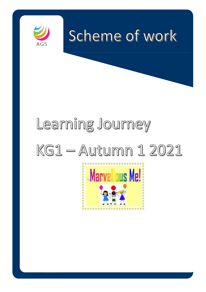

## $\Gamma$  at the illustrations, guess  $\Gamma$  $R \approx 20$ era with your child to talk about what they can see and what they can see and what they can see and what they can see and what they can see and what they can see and what they can see and what they can see and wha u u u u u u u  $\omega$  $\Theta$  to the book and turn the pages as  $\Theta$

# $\Box$  and  $\Box$  in the library that are similar to the library to  $\Box$  $\mathbb{K}$  if  $\subset$  in  $\subset$  words. In the story in the story in the story in the story in the story in the story in the story in the story in the story in the story in the story in the story in the story in the story in the Encourage your child to look at the book independently.

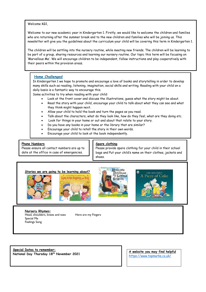Welcome KG1,

Welcome to our new academic year in Kindergarten 1. Firstly, we would like to welcome the children and families who are returning after the summer break and to the new children and families who will be joining us. This newsletter will give you the guidelines about the curriculum your child will be covering this term in Kindergarten 1.

The children will be settling into the nursery routine, while meeting new friends. The children will be learning to be part of a group, sharing resources and learning our nursery routine. Our topic this term will be focusing on 'Marvellous Me'. We will encourage children to be independent, follow instructions and play cooperatively with their peers within the provision areas.

## **Home Challenges!**

In Kindergarten 1 we hope to promote and encourage a love of books and storytelling in order to develop many skills such as reading, listening, imagination, social skills and writing. Reading with your child on a daily basis is a fantastic way to encourage this.

Some activities to try when reading with your child:

- Look at the front cover and discuss the illustrations, guess what the story might be about.
- Read the story with your child, encourage your child to talk about what they can see and what they think might happen next.
- Allow your child to hold the book and turn the pages as you read.
- Talk about the characters, what do they look like, how do they feel, what are they doing etc.
- Look for things in your home or out and about that relate to your story.
- Do you have any books in your home or the library that are similar?
- Encourage your child to retell the story in their own words.
- Encourage your child to look at the book independently.

#### **Phone Numbers**

Please ensure all contact numbers are up to date at the office in case of emergencies.

## **Spare clothing**

Please provide spare clothing for your child in their school bags and Put your child's name on their clothes, jackets and shoes.

#### **Stories we are going to be learning about?**



l







**Nursery Rhymes:** Head, shoulders, knees and toes Here are my Fingers Special Me Feelings Song

**Special Dates to remember: National Day Thursday 18th November 2021**

**A website you may find helpful** <https://www.topmarks.co.uk/>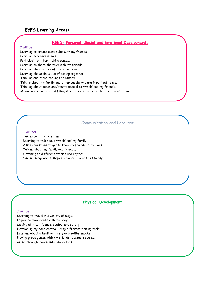## **EYFS Learning Areas:**

## **PSED- Personal, Social and Emotional Development.**

#### I will be:

Learning to create class rules with my friends. Learning teachers names. Participating in turn taking games. Learning to share the toys with my friends. Learning the routines of the school day. Learning the social skills of eating together. Thinking about the feelings of others. Talking about my family and other people who are important to me. Thinking about occasions/events special to myself and my friends. Making a special box and filling it with precious items that mean a lot to me.

### **Communication and Language.**

#### I will be:

Taking part in circle time. Learning to talk about myself and my family. Asking questions to get to know my friends in my class. Talking about my family and friends. Listening to different stories and rhymes. Singing songs about shapes, colours, friends and family.

#### **Physical Development**

#### I will be:

Learning to travel in a variety of ways. Exploring movements with my body. Moving with confidence, control and safety. Developing my hand control, using different writing tools. Learning about a healthy lifestyle- Healthy snacks Playing group games with my friends- obstacle course Music through movement- Sticky Kids